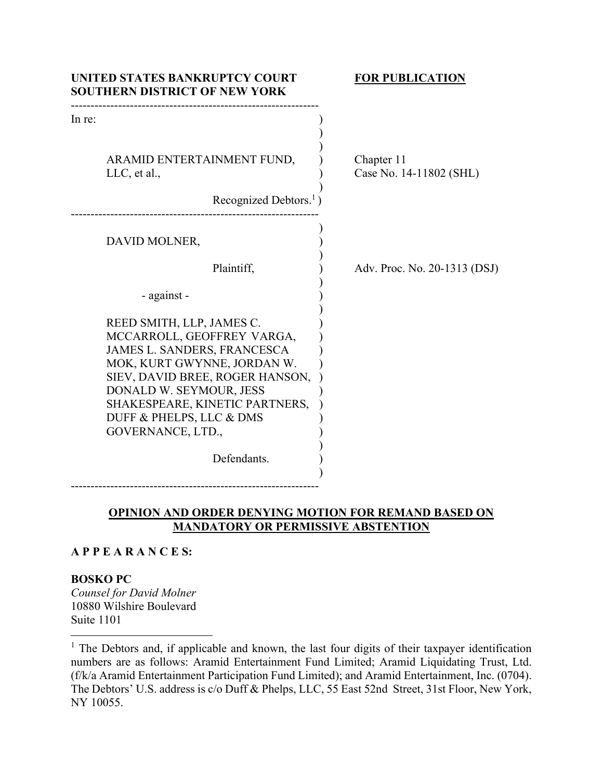| UNITED STATES BANKRUPTCY COURT<br><b>SOUTHERN DISTRICT OF NEW YORK</b>                                                                                                                                                                                                 | <b>FOR PUBLICATION</b>                |
|------------------------------------------------------------------------------------------------------------------------------------------------------------------------------------------------------------------------------------------------------------------------|---------------------------------------|
| In re:<br>ARAMID ENTERTAINMENT FUND,<br>$LLC$ , et al.,                                                                                                                                                                                                                | Chapter 11<br>Case No. 14-11802 (SHL) |
| Recognized Debtors. $\frac{1}{1}$ )                                                                                                                                                                                                                                    |                                       |
| DAVID MOLNER,                                                                                                                                                                                                                                                          |                                       |
| Plaintiff,                                                                                                                                                                                                                                                             | Adv. Proc. No. 20-1313 (DSJ)          |
| - against -                                                                                                                                                                                                                                                            |                                       |
| REED SMITH, LLP, JAMES C.<br>MCCARROLL, GEOFFREY VARGA,<br>JAMES L. SANDERS, FRANCESCA<br>MOK, KURT GWYNNE, JORDAN W.<br>SIEV, DAVID BREE, ROGER HANSON,<br>DONALD W. SEYMOUR, JESS<br>SHAKESPEARE, KINETIC PARTNERS,<br>DUFF & PHELPS, LLC & DMS<br>GOVERNANCE, LTD., |                                       |
| Defendants.                                                                                                                                                                                                                                                            |                                       |

## **OPINION AND ORDER DENYING MOTION FOR REMAND BASED ON MANDATORY OR PERMISSIVE ABSTENTION**

## **A P P E A R A N C E S:**

---------------------------------------------------------------

### **BOSKO PC**

*Counsel for David Molner* 10880 Wilshire Boulevard Suite 1101

<sup>&</sup>lt;sup>1</sup> The Debtors and, if applicable and known, the last four digits of their taxpayer identification numbers are as follows: Aramid Entertainment Fund Limited; Aramid Liquidating Trust, Ltd. (f/k/a Aramid Entertainment Participation Fund Limited); and Aramid Entertainment, Inc. (0704). The Debtors' U.S. address is c/o Duff & Phelps, LLC, 55 East 52nd Street, 31st Floor, New York, NY 10055.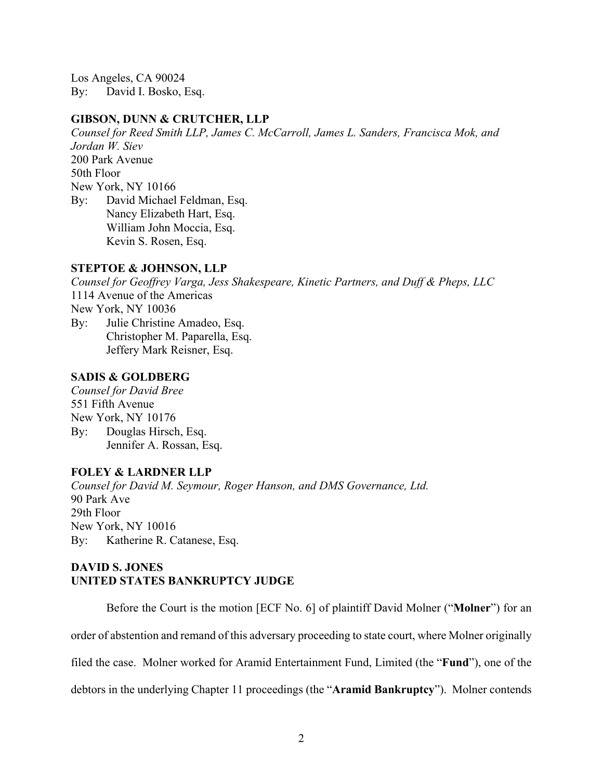Los Angeles, CA 90024 By: David I. Bosko, Esq.

## **GIBSON, DUNN & CRUTCHER, LLP**

*Counsel for Reed Smith LLP, James C. McCarroll, James L. Sanders, Francisca Mok, and Jordan W. Siev*  200 Park Avenue 50th Floor New York, NY 10166 By: David Michael Feldman, Esq. Nancy Elizabeth Hart, Esq. William John Moccia, Esq. Kevin S. Rosen, Esq.

### **STEPTOE & JOHNSON, LLP**

*Counsel for Geoffrey Varga, Jess Shakespeare, Kinetic Partners, and Duff & Pheps, LLC*  1114 Avenue of the Americas New York, NY 10036 By: Julie Christine Amadeo, Esq. Christopher M. Paparella, Esq. Jeffery Mark Reisner, Esq.

## **SADIS & GOLDBERG**

*Counsel for David Bree*  551 Fifth Avenue New York, NY 10176 By: Douglas Hirsch, Esq. Jennifer A. Rossan, Esq.

## **FOLEY & LARDNER LLP**

*Counsel for David M. Seymour, Roger Hanson, and DMS Governance, Ltd.* 90 Park Ave 29th Floor New York, NY 10016 By: Katherine R. Catanese, Esq.

# **DAVID S. JONES UNITED STATES BANKRUPTCY JUDGE**

Before the Court is the motion [ECF No. 6] of plaintiff David Molner ("**Molner**") for an

order of abstention and remand of this adversary proceeding to state court, where Molner originally

filed the case. Molner worked for Aramid Entertainment Fund, Limited (the "**Fund**"), one of the

debtors in the underlying Chapter 11 proceedings (the "**Aramid Bankruptcy**"). Molner contends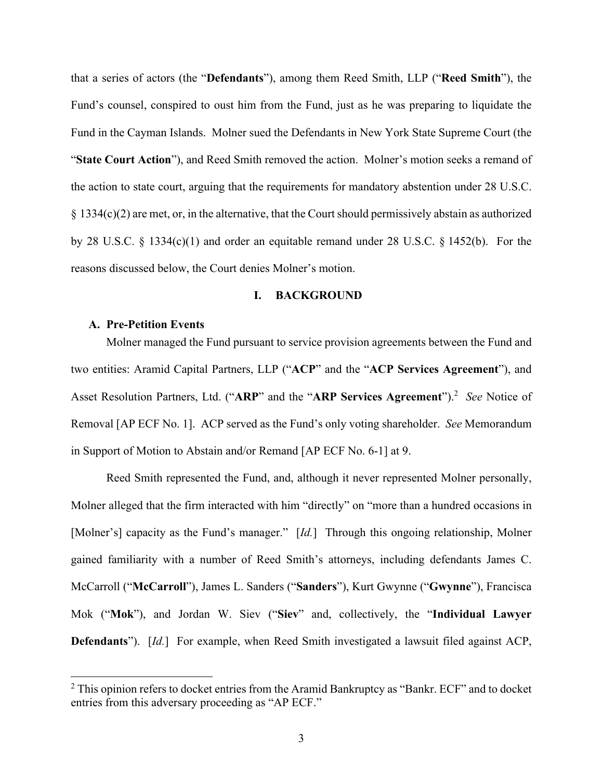that a series of actors (the "**Defendants**"), among them Reed Smith, LLP ("**Reed Smith**"), the Fund's counsel, conspired to oust him from the Fund, just as he was preparing to liquidate the Fund in the Cayman Islands. Molner sued the Defendants in New York State Supreme Court (the "**State Court Action**"), and Reed Smith removed the action. Molner's motion seeks a remand of the action to state court, arguing that the requirements for mandatory abstention under 28 U.S.C. § 1334(c)(2) are met, or, in the alternative, that the Court should permissively abstain as authorized by 28 U.S.C. § 1334(c)(1) and order an equitable remand under 28 U.S.C. § 1452(b). For the reasons discussed below, the Court denies Molner's motion.

### **I. BACKGROUND**

## **A. Pre-Petition Events**

Molner managed the Fund pursuant to service provision agreements between the Fund and two entities: Aramid Capital Partners, LLP ("**ACP**" and the "**ACP Services Agreement**"), and Asset Resolution Partners, Ltd. ("ARP" and the "ARP Services Agreement").<sup>2</sup> See Notice of Removal [AP ECF No. 1]. ACP served as the Fund's only voting shareholder. *See* Memorandum in Support of Motion to Abstain and/or Remand [AP ECF No. 6-1] at 9.

Reed Smith represented the Fund, and, although it never represented Molner personally, Molner alleged that the firm interacted with him "directly" on "more than a hundred occasions in [Molner's] capacity as the Fund's manager." [*Id.*] Through this ongoing relationship, Molner gained familiarity with a number of Reed Smith's attorneys, including defendants James C. McCarroll ("**McCarroll**"), James L. Sanders ("**Sanders**"), Kurt Gwynne ("**Gwynne**"), Francisca Mok ("**Mok**"), and Jordan W. Siev ("**Siev**" and, collectively, the "**Individual Lawyer Defendants**"). [*Id.*]For example, when Reed Smith investigated a lawsuit filed against ACP,

 $2$  This opinion refers to docket entries from the Aramid Bankruptcy as "Bankr. ECF" and to docket entries from this adversary proceeding as "AP ECF."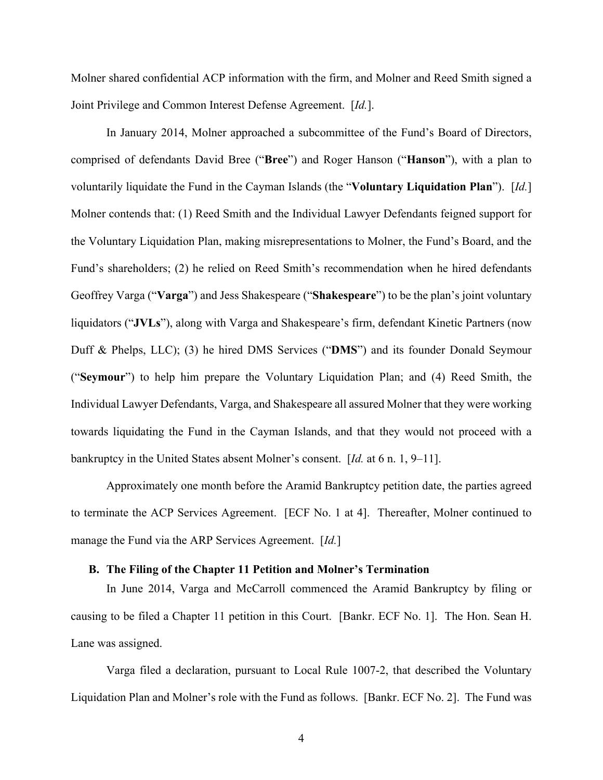Molner shared confidential ACP information with the firm, and Molner and Reed Smith signed a Joint Privilege and Common Interest Defense Agreement. [*Id.*].

In January 2014, Molner approached a subcommittee of the Fund's Board of Directors, comprised of defendants David Bree ("**Bree**") and Roger Hanson ("**Hanson**"), with a plan to voluntarily liquidate the Fund in the Cayman Islands (the "**Voluntary Liquidation Plan**"). [*Id.*] Molner contends that: (1) Reed Smith and the Individual Lawyer Defendants feigned support for the Voluntary Liquidation Plan, making misrepresentations to Molner, the Fund's Board, and the Fund's shareholders; (2) he relied on Reed Smith's recommendation when he hired defendants Geoffrey Varga ("**Varga**") and Jess Shakespeare ("**Shakespeare**") to be the plan's joint voluntary liquidators ("**JVLs**"), along with Varga and Shakespeare's firm, defendant Kinetic Partners (now Duff & Phelps, LLC); (3) he hired DMS Services ("**DMS**") and its founder Donald Seymour ("**Seymour**") to help him prepare the Voluntary Liquidation Plan; and (4) Reed Smith, the Individual Lawyer Defendants, Varga, and Shakespeare all assured Molner that they were working towards liquidating the Fund in the Cayman Islands, and that they would not proceed with a bankruptcy in the United States absent Molner's consent. [*Id.* at 6 n. 1, 9–11].

Approximately one month before the Aramid Bankruptcy petition date, the parties agreed to terminate the ACP Services Agreement. [ECF No. 1 at 4]. Thereafter, Molner continued to manage the Fund via the ARP Services Agreement. [*Id.*]

## **B. The Filing of the Chapter 11 Petition and Molner's Termination**

In June 2014, Varga and McCarroll commenced the Aramid Bankruptcy by filing or causing to be filed a Chapter 11 petition in this Court. [Bankr. ECF No. 1]. The Hon. Sean H. Lane was assigned.

Varga filed a declaration, pursuant to Local Rule 1007-2, that described the Voluntary Liquidation Plan and Molner's role with the Fund as follows. [Bankr. ECF No. 2]. The Fund was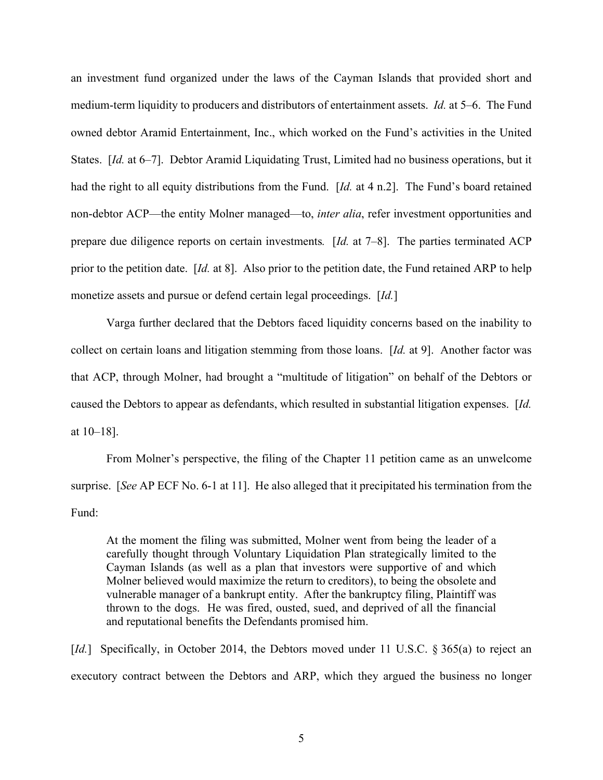an investment fund organized under the laws of the Cayman Islands that provided short and medium-term liquidity to producers and distributors of entertainment assets. *Id.* at 5–6. The Fund owned debtor Aramid Entertainment, Inc., which worked on the Fund's activities in the United States. [*Id.* at 6–7]. Debtor Aramid Liquidating Trust, Limited had no business operations, but it had the right to all equity distributions from the Fund. [*Id.* at 4 n.2]. The Fund's board retained non-debtor ACP—the entity Molner managed—to, *inter alia*, refer investment opportunities and prepare due diligence reports on certain investments*.* [*Id.* at 7–8]. The parties terminated ACP prior to the petition date. [*Id.* at 8]. Also prior to the petition date, the Fund retained ARP to help monetize assets and pursue or defend certain legal proceedings. [*Id.*]

Varga further declared that the Debtors faced liquidity concerns based on the inability to collect on certain loans and litigation stemming from those loans. [*Id.* at 9]. Another factor was that ACP, through Molner, had brought a "multitude of litigation" on behalf of the Debtors or caused the Debtors to appear as defendants, which resulted in substantial litigation expenses. [*Id.*  at 10–18].

From Molner's perspective, the filing of the Chapter 11 petition came as an unwelcome surprise. [*See* AP ECF No. 6-1 at 11]. He also alleged that it precipitated his termination from the Fund:

At the moment the filing was submitted, Molner went from being the leader of a carefully thought through Voluntary Liquidation Plan strategically limited to the Cayman Islands (as well as a plan that investors were supportive of and which Molner believed would maximize the return to creditors), to being the obsolete and vulnerable manager of a bankrupt entity. After the bankruptcy filing, Plaintiff was thrown to the dogs. He was fired, ousted, sued, and deprived of all the financial and reputational benefits the Defendants promised him.

[*Id.*] Specifically, in October 2014, the Debtors moved under 11 U.S.C. § 365(a) to reject an executory contract between the Debtors and ARP, which they argued the business no longer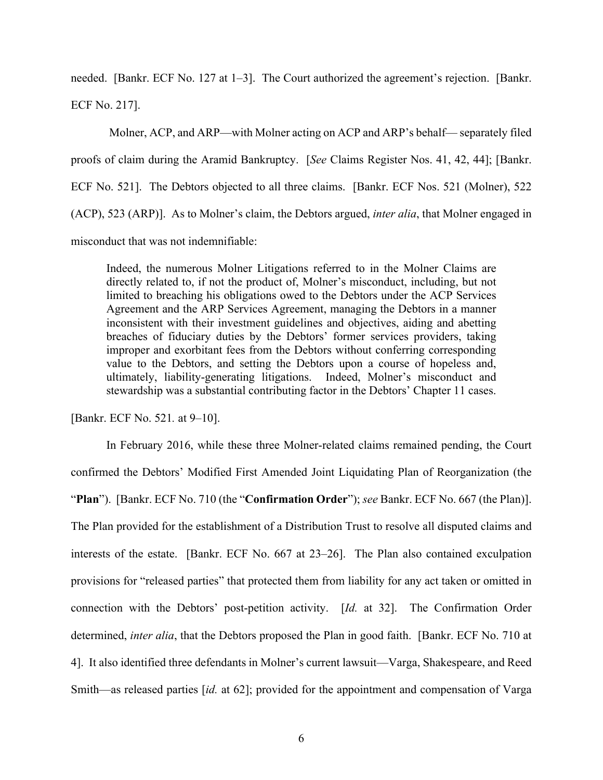needed. [Bankr. ECF No. 127 at 1–3]. The Court authorized the agreement's rejection. [Bankr. ECF No. 217].

 Molner, ACP, and ARP—with Molner acting on ACP and ARP's behalf— separately filed proofs of claim during the Aramid Bankruptcy. [*See* Claims Register Nos. 41, 42, 44]; [Bankr. ECF No. 521]. The Debtors objected to all three claims. [Bankr. ECF Nos. 521 (Molner), 522 (ACP), 523 (ARP)]. As to Molner's claim, the Debtors argued, *inter alia*, that Molner engaged in misconduct that was not indemnifiable:

Indeed, the numerous Molner Litigations referred to in the Molner Claims are directly related to, if not the product of, Molner's misconduct, including, but not limited to breaching his obligations owed to the Debtors under the ACP Services Agreement and the ARP Services Agreement, managing the Debtors in a manner inconsistent with their investment guidelines and objectives, aiding and abetting breaches of fiduciary duties by the Debtors' former services providers, taking improper and exorbitant fees from the Debtors without conferring corresponding value to the Debtors, and setting the Debtors upon a course of hopeless and, ultimately, liability-generating litigations. Indeed, Molner's misconduct and stewardship was a substantial contributing factor in the Debtors' Chapter 11 cases.

[Bankr. ECF No. 521*.* at 9–10].

In February 2016, while these three Molner-related claims remained pending, the Court confirmed the Debtors' Modified First Amended Joint Liquidating Plan of Reorganization (the "**Plan**"). [Bankr. ECF No. 710 (the "**Confirmation Order**"); *see* Bankr. ECF No. 667 (the Plan)]. The Plan provided for the establishment of a Distribution Trust to resolve all disputed claims and interests of the estate. [Bankr. ECF No. 667 at 23–26]. The Plan also contained exculpation provisions for "released parties" that protected them from liability for any act taken or omitted in connection with the Debtors' post-petition activity. [*Id.* at 32]. The Confirmation Order determined, *inter alia*, that the Debtors proposed the Plan in good faith. [Bankr. ECF No. 710 at 4]. It also identified three defendants in Molner's current lawsuit—Varga, Shakespeare, and Reed Smith—as released parties [*id.* at 62]; provided for the appointment and compensation of Varga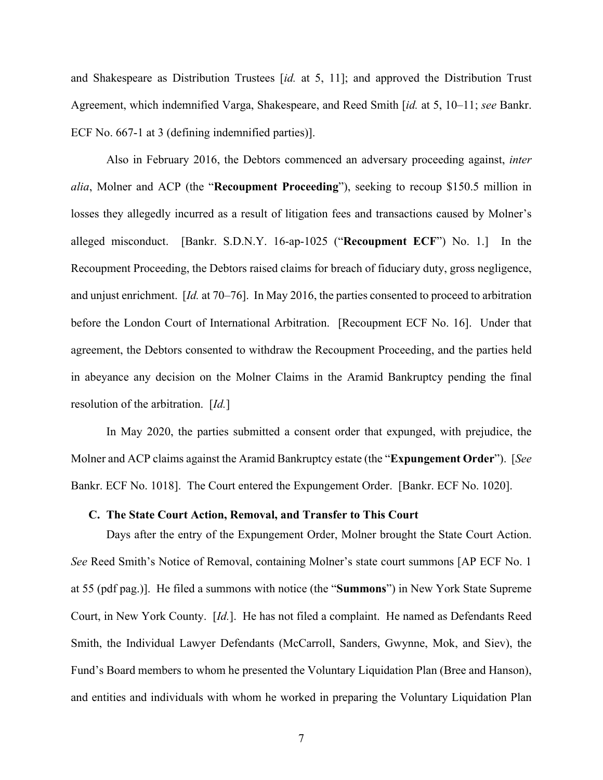and Shakespeare as Distribution Trustees [*id.* at 5, 11]; and approved the Distribution Trust Agreement, which indemnified Varga, Shakespeare, and Reed Smith [*id.* at 5, 10–11; *see* Bankr. ECF No. 667-1 at 3 (defining indemnified parties)].

Also in February 2016, the Debtors commenced an adversary proceeding against, *inter alia*, Molner and ACP (the "**Recoupment Proceeding**"), seeking to recoup \$150.5 million in losses they allegedly incurred as a result of litigation fees and transactions caused by Molner's alleged misconduct. [Bankr. S.D.N.Y. 16-ap-1025 ("**Recoupment ECF**") No. 1.] In the Recoupment Proceeding, the Debtors raised claims for breach of fiduciary duty, gross negligence, and unjust enrichment. [*Id.* at 70–76]. In May 2016, the parties consented to proceed to arbitration before the London Court of International Arbitration. [Recoupment ECF No. 16]. Under that agreement, the Debtors consented to withdraw the Recoupment Proceeding, and the parties held in abeyance any decision on the Molner Claims in the Aramid Bankruptcy pending the final resolution of the arbitration. [*Id.*]

In May 2020, the parties submitted a consent order that expunged, with prejudice, the Molner and ACP claims against the Aramid Bankruptcy estate (the "**Expungement Order**"). [*See*  Bankr. ECF No. 1018]. The Court entered the Expungement Order. [Bankr. ECF No. 1020].

### **C. The State Court Action, Removal, and Transfer to This Court**

Days after the entry of the Expungement Order, Molner brought the State Court Action. *See* Reed Smith's Notice of Removal, containing Molner's state court summons [AP ECF No. 1 at 55 (pdf pag.)]. He filed a summons with notice (the "**Summons**") in New York State Supreme Court, in New York County. [*Id.*]. He has not filed a complaint. He named as Defendants Reed Smith, the Individual Lawyer Defendants (McCarroll, Sanders, Gwynne, Mok, and Siev), the Fund's Board members to whom he presented the Voluntary Liquidation Plan (Bree and Hanson), and entities and individuals with whom he worked in preparing the Voluntary Liquidation Plan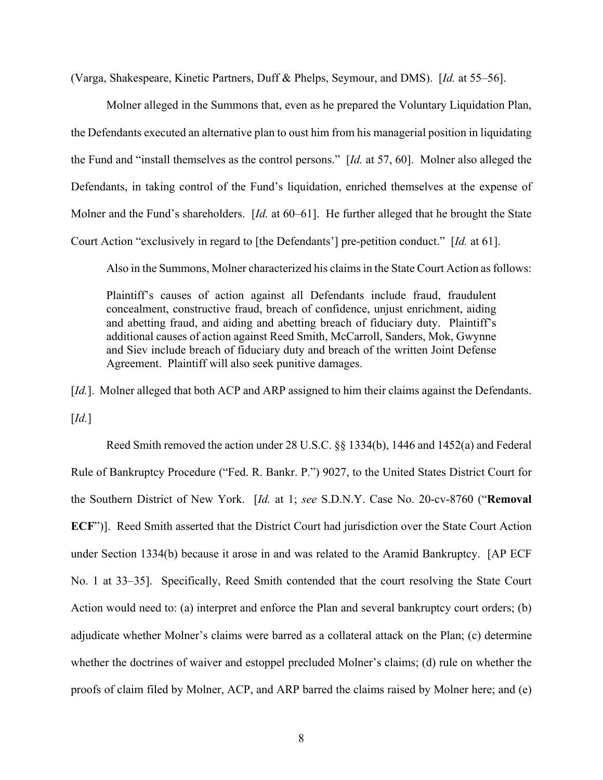(Varga, Shakespeare, Kinetic Partners, Duff & Phelps, Seymour, and DMS). [*Id.* at 55–56].

Molner alleged in the Summons that, even as he prepared the Voluntary Liquidation Plan, the Defendants executed an alternative plan to oust him from his managerial position in liquidating the Fund and "install themselves as the control persons." [*Id.* at 57, 60]. Molner also alleged the Defendants, in taking control of the Fund's liquidation, enriched themselves at the expense of Molner and the Fund's shareholders. [*Id.* at 60–61]. He further alleged that he brought the State Court Action "exclusively in regard to [the Defendants'] pre-petition conduct." [*Id.* at 61].

Also in the Summons, Molner characterized his claims in the State Court Action as follows:

Plaintiff's causes of action against all Defendants include fraud, fraudulent concealment, constructive fraud, breach of confidence, unjust enrichment, aiding and abetting fraud, and aiding and abetting breach of fiduciary duty. Plaintiff's additional causes of action against Reed Smith, McCarroll, Sanders, Mok, Gwynne and Siev include breach of fiduciary duty and breach of the written Joint Defense Agreement. Plaintiff will also seek punitive damages.

[*Id.*]. Molner alleged that both ACP and ARP assigned to him their claims against the Defendants. [*Id.*]

Reed Smith removed the action under 28 U.S.C. §§ 1334(b), 1446 and 1452(a) and Federal Rule of Bankruptcy Procedure ("Fed. R. Bankr. P.") 9027, to the United States District Court for the Southern District of New York. [*Id.* at 1; *see* S.D.N.Y. Case No. 20-cv-8760 ("**Removal ECF**")]. Reed Smith asserted that the District Court had jurisdiction over the State Court Action under Section 1334(b) because it arose in and was related to the Aramid Bankruptcy. [AP ECF No. 1 at 33–35]. Specifically, Reed Smith contended that the court resolving the State Court Action would need to: (a) interpret and enforce the Plan and several bankruptcy court orders; (b) adjudicate whether Molner's claims were barred as a collateral attack on the Plan; (c) determine whether the doctrines of waiver and estoppel precluded Molner's claims; (d) rule on whether the proofs of claim filed by Molner, ACP, and ARP barred the claims raised by Molner here; and (e)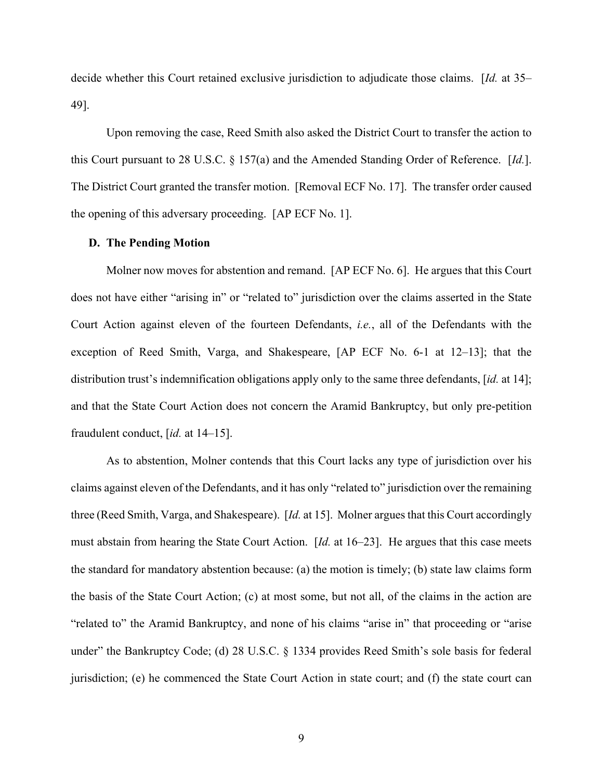decide whether this Court retained exclusive jurisdiction to adjudicate those claims. [*Id.* at 35– 49].

Upon removing the case, Reed Smith also asked the District Court to transfer the action to this Court pursuant to 28 U.S.C. § 157(a) and the Amended Standing Order of Reference. [*Id.*]. The District Court granted the transfer motion. [Removal ECF No. 17]. The transfer order caused the opening of this adversary proceeding. [AP ECF No. 1].

#### **D. The Pending Motion**

Molner now moves for abstention and remand. [AP ECF No. 6]. He argues that this Court does not have either "arising in" or "related to" jurisdiction over the claims asserted in the State Court Action against eleven of the fourteen Defendants, *i.e.*, all of the Defendants with the exception of Reed Smith, Varga, and Shakespeare, [AP ECF No. 6-1 at 12–13]; that the distribution trust's indemnification obligations apply only to the same three defendants, [*id.* at 14]; and that the State Court Action does not concern the Aramid Bankruptcy, but only pre-petition fraudulent conduct, [*id.* at 14–15].

As to abstention, Molner contends that this Court lacks any type of jurisdiction over his claims against eleven of the Defendants, and it has only "related to" jurisdiction over the remaining three (Reed Smith, Varga, and Shakespeare). [*Id.* at 15]. Molner argues that this Court accordingly must abstain from hearing the State Court Action. [*Id.* at 16–23]. He argues that this case meets the standard for mandatory abstention because: (a) the motion is timely; (b) state law claims form the basis of the State Court Action; (c) at most some, but not all, of the claims in the action are "related to" the Aramid Bankruptcy, and none of his claims "arise in" that proceeding or "arise under" the Bankruptcy Code; (d) 28 U.S.C. § 1334 provides Reed Smith's sole basis for federal jurisdiction; (e) he commenced the State Court Action in state court; and (f) the state court can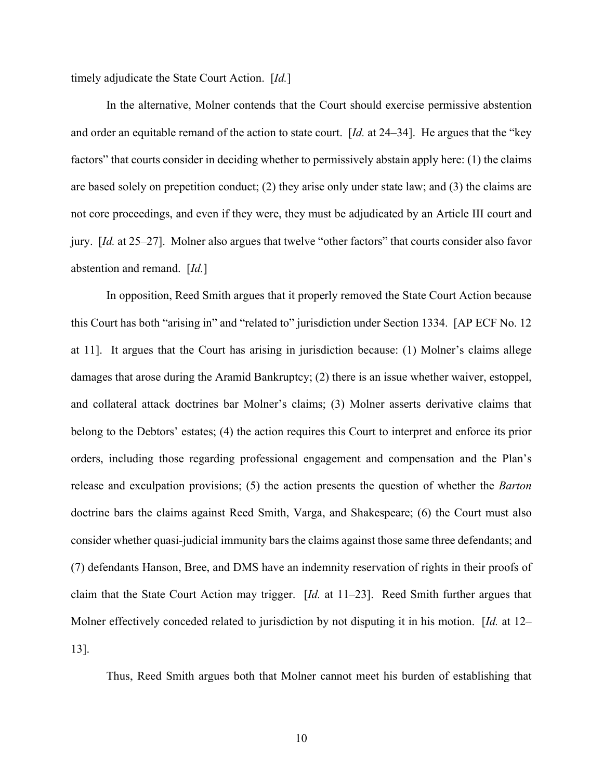timely adjudicate the State Court Action. [*Id.*]

In the alternative, Molner contends that the Court should exercise permissive abstention and order an equitable remand of the action to state court. [*Id.* at 24–34]. He argues that the "key factors" that courts consider in deciding whether to permissively abstain apply here: (1) the claims are based solely on prepetition conduct; (2) they arise only under state law; and (3) the claims are not core proceedings, and even if they were, they must be adjudicated by an Article III court and jury. [*Id.* at 25–27]. Molner also argues that twelve "other factors" that courts consider also favor abstention and remand. [*Id.*]

In opposition, Reed Smith argues that it properly removed the State Court Action because this Court has both "arising in" and "related to" jurisdiction under Section 1334. [AP ECF No. 12 at 11]. It argues that the Court has arising in jurisdiction because: (1) Molner's claims allege damages that arose during the Aramid Bankruptcy; (2) there is an issue whether waiver, estoppel, and collateral attack doctrines bar Molner's claims; (3) Molner asserts derivative claims that belong to the Debtors' estates; (4) the action requires this Court to interpret and enforce its prior orders, including those regarding professional engagement and compensation and the Plan's release and exculpation provisions; (5) the action presents the question of whether the *Barton*  doctrine bars the claims against Reed Smith, Varga, and Shakespeare; (6) the Court must also consider whether quasi-judicial immunity bars the claims against those same three defendants; and (7) defendants Hanson, Bree, and DMS have an indemnity reservation of rights in their proofs of claim that the State Court Action may trigger. [*Id.* at 11–23]. Reed Smith further argues that Molner effectively conceded related to jurisdiction by not disputing it in his motion. [*Id.* at 12– 13].

Thus, Reed Smith argues both that Molner cannot meet his burden of establishing that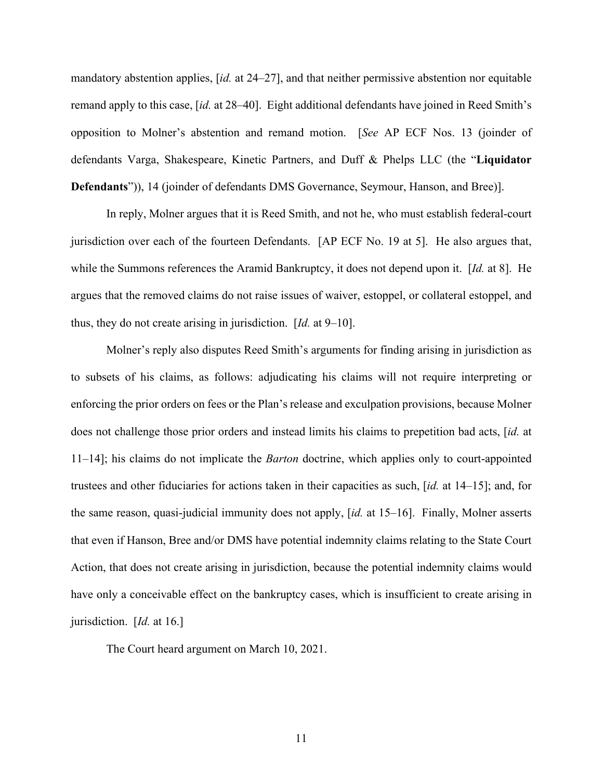mandatory abstention applies, [*id.* at 24–27], and that neither permissive abstention nor equitable remand apply to this case, [*id.* at 28–40]. Eight additional defendants have joined in Reed Smith's opposition to Molner's abstention and remand motion. [*See* AP ECF Nos. 13 (joinder of defendants Varga, Shakespeare, Kinetic Partners, and Duff & Phelps LLC (the "**Liquidator Defendants**")), 14 (joinder of defendants DMS Governance, Seymour, Hanson, and Bree)].

In reply, Molner argues that it is Reed Smith, and not he, who must establish federal-court jurisdiction over each of the fourteen Defendants. [AP ECF No. 19 at 5]. He also argues that, while the Summons references the Aramid Bankruptcy, it does not depend upon it. [*Id.* at 8]. He argues that the removed claims do not raise issues of waiver, estoppel, or collateral estoppel, and thus, they do not create arising in jurisdiction. [*Id.* at 9–10].

Molner's reply also disputes Reed Smith's arguments for finding arising in jurisdiction as to subsets of his claims, as follows: adjudicating his claims will not require interpreting or enforcing the prior orders on fees or the Plan's release and exculpation provisions, because Molner does not challenge those prior orders and instead limits his claims to prepetition bad acts, [*id.* at 11–14]; his claims do not implicate the *Barton* doctrine, which applies only to court-appointed trustees and other fiduciaries for actions taken in their capacities as such, [*id.* at 14–15]; and, for the same reason, quasi-judicial immunity does not apply, [*id.* at 15–16]. Finally, Molner asserts that even if Hanson, Bree and/or DMS have potential indemnity claims relating to the State Court Action, that does not create arising in jurisdiction, because the potential indemnity claims would have only a conceivable effect on the bankruptcy cases, which is insufficient to create arising in jurisdiction. [*Id.* at 16.]

The Court heard argument on March 10, 2021.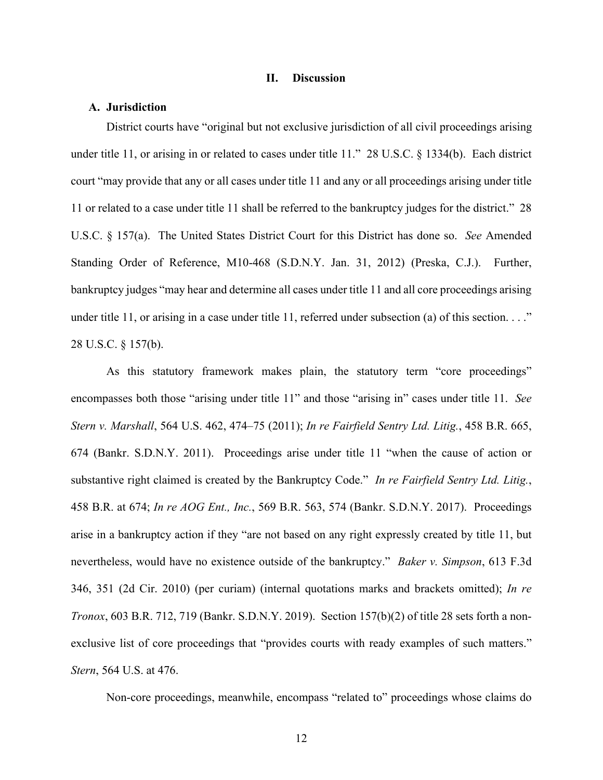#### **II. Discussion**

#### **A. Jurisdiction**

District courts have "original but not exclusive jurisdiction of all civil proceedings arising under title 11, or arising in or related to cases under title 11." 28 U.S.C. § 1334(b). Each district court "may provide that any or all cases under title 11 and any or all proceedings arising under title 11 or related to a case under title 11 shall be referred to the bankruptcy judges for the district." 28 U.S.C. § 157(a). The United States District Court for this District has done so. *See* Amended Standing Order of Reference, M10-468 (S.D.N.Y. Jan. 31, 2012) (Preska, C.J.). Further, bankruptcy judges "may hear and determine all cases under title 11 and all core proceedings arising under title 11, or arising in a case under title 11, referred under subsection (a) of this section.  $\dots$ " 28 U.S.C. § 157(b).

As this statutory framework makes plain, the statutory term "core proceedings" encompasses both those "arising under title 11" and those "arising in" cases under title 11. *See Stern v. Marshall*, 564 U.S. 462, 474–75 (2011); *In re Fairfield Sentry Ltd. Litig.*, 458 B.R. 665, 674 (Bankr. S.D.N.Y. 2011). Proceedings arise under title 11 "when the cause of action or substantive right claimed is created by the Bankruptcy Code." *In re Fairfield Sentry Ltd. Litig.*, 458 B.R. at 674; *In re AOG Ent., Inc.*, 569 B.R. 563, 574 (Bankr. S.D.N.Y. 2017). Proceedings arise in a bankruptcy action if they "are not based on any right expressly created by title 11, but nevertheless, would have no existence outside of the bankruptcy." *Baker v. Simpson*, 613 F.3d 346, 351 (2d Cir. 2010) (per curiam) (internal quotations marks and brackets omitted); *In re Tronox*, 603 B.R. 712, 719 (Bankr. S.D.N.Y. 2019). Section 157(b)(2) of title 28 sets forth a nonexclusive list of core proceedings that "provides courts with ready examples of such matters." *Stern*, 564 U.S. at 476.

Non-core proceedings, meanwhile, encompass "related to" proceedings whose claims do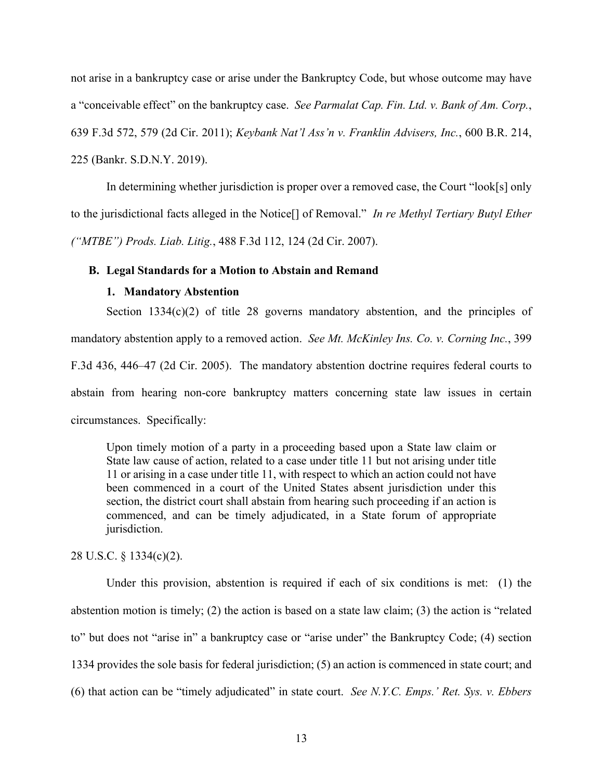not arise in a bankruptcy case or arise under the Bankruptcy Code, but whose outcome may have a "conceivable effect" on the bankruptcy case. *See Parmalat Cap. Fin. Ltd. v. Bank of Am. Corp.*, 639 F.3d 572, 579 (2d Cir. 2011); *Keybank Nat'l Ass'n v. Franklin Advisers, Inc.*, 600 B.R. 214, 225 (Bankr. S.D.N.Y. 2019).

In determining whether jurisdiction is proper over a removed case, the Court "look[s] only to the jurisdictional facts alleged in the Notice[] of Removal." *In re Methyl Tertiary Butyl Ether ("MTBE") Prods. Liab. Litig.*, 488 F.3d 112, 124 (2d Cir. 2007).

### **B. Legal Standards for a Motion to Abstain and Remand**

## **1. Mandatory Abstention**

Section 1334(c)(2) of title 28 governs mandatory abstention, and the principles of mandatory abstention apply to a removed action. *See Mt. McKinley Ins. Co. v. Corning Inc.*, 399 F.3d 436, 446–47 (2d Cir. 2005). The mandatory abstention doctrine requires federal courts to abstain from hearing non-core bankruptcy matters concerning state law issues in certain circumstances. Specifically:

Upon timely motion of a party in a proceeding based upon a State law claim or State law cause of action, related to a case under title 11 but not arising under title 11 or arising in a case under title 11, with respect to which an action could not have been commenced in a court of the United States absent jurisdiction under this section, the district court shall abstain from hearing such proceeding if an action is commenced, and can be timely adjudicated, in a State forum of appropriate jurisdiction.

28 U.S.C. § 1334(c)(2).

Under this provision, abstention is required if each of six conditions is met: (1) the abstention motion is timely; (2) the action is based on a state law claim; (3) the action is "related to" but does not "arise in" a bankruptcy case or "arise under" the Bankruptcy Code; (4) section 1334 provides the sole basis for federal jurisdiction; (5) an action is commenced in state court; and (6) that action can be "timely adjudicated" in state court. *See N.Y.C. Emps.' Ret. Sys. v. Ebbers*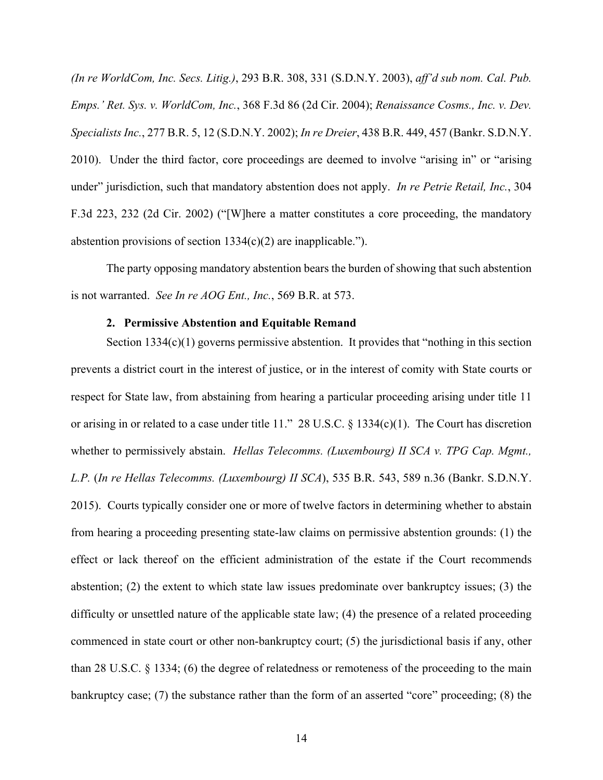*(In re WorldCom, Inc. Secs. Litig.)*, 293 B.R. 308, 331 (S.D.N.Y. 2003), *aff'd sub nom. Cal. Pub. Emps.' Ret. Sys. v. WorldCom, Inc.*, 368 F.3d 86 (2d Cir. 2004); *Renaissance Cosms., Inc. v. Dev. Specialists Inc.*, 277 B.R. 5, 12 (S.D.N.Y. 2002); *In re Dreier*, 438 B.R. 449, 457 (Bankr. S.D.N.Y. 2010). Under the third factor, core proceedings are deemed to involve "arising in" or "arising under" jurisdiction, such that mandatory abstention does not apply. *In re Petrie Retail, Inc.*, 304 F.3d 223, 232 (2d Cir. 2002) ("[W]here a matter constitutes a core proceeding, the mandatory abstention provisions of section  $1334(c)(2)$  are inapplicable.").

The party opposing mandatory abstention bears the burden of showing that such abstention is not warranted. *See In re AOG Ent., Inc.*, 569 B.R. at 573.

#### **2. Permissive Abstention and Equitable Remand**

Section  $1334(c)(1)$  governs permissive abstention. It provides that "nothing in this section prevents a district court in the interest of justice, or in the interest of comity with State courts or respect for State law, from abstaining from hearing a particular proceeding arising under title 11 or arising in or related to a case under title 11." 28 U.S.C. § 1334(c)(1). The Court has discretion whether to permissively abstain. *Hellas Telecomms. (Luxembourg) II SCA v. TPG Cap. Mgmt., L.P.* (*In re Hellas Telecomms. (Luxembourg) II SCA*), 535 B.R. 543, 589 n.36 (Bankr. S.D.N.Y. 2015). Courts typically consider one or more of twelve factors in determining whether to abstain from hearing a proceeding presenting state-law claims on permissive abstention grounds: (1) the effect or lack thereof on the efficient administration of the estate if the Court recommends abstention; (2) the extent to which state law issues predominate over bankruptcy issues; (3) the difficulty or unsettled nature of the applicable state law; (4) the presence of a related proceeding commenced in state court or other non-bankruptcy court; (5) the jurisdictional basis if any, other than 28 U.S.C. § 1334; (6) the degree of relatedness or remoteness of the proceeding to the main bankruptcy case; (7) the substance rather than the form of an asserted "core" proceeding; (8) the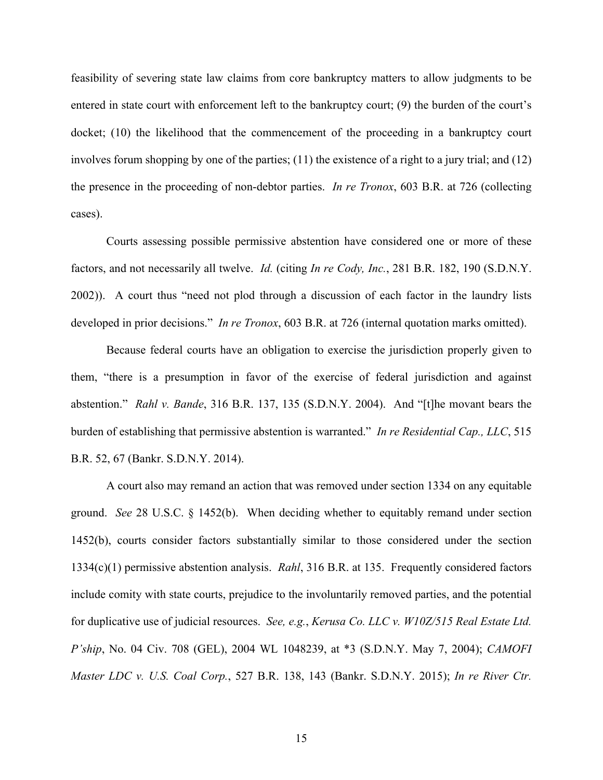feasibility of severing state law claims from core bankruptcy matters to allow judgments to be entered in state court with enforcement left to the bankruptcy court; (9) the burden of the court's docket; (10) the likelihood that the commencement of the proceeding in a bankruptcy court involves forum shopping by one of the parties; (11) the existence of a right to a jury trial; and (12) the presence in the proceeding of non-debtor parties. *In re Tronox*, 603 B.R. at 726 (collecting cases).

Courts assessing possible permissive abstention have considered one or more of these factors, and not necessarily all twelve. *Id.* (citing *In re Cody, Inc.*, 281 B.R. 182, 190 (S.D.N.Y. 2002)). A court thus "need not plod through a discussion of each factor in the laundry lists developed in prior decisions." *In re Tronox*, 603 B.R. at 726 (internal quotation marks omitted).

 Because federal courts have an obligation to exercise the jurisdiction properly given to them, "there is a presumption in favor of the exercise of federal jurisdiction and against abstention." *Rahl v. Bande*, 316 B.R. 137, 135 (S.D.N.Y. 2004). And "[t]he movant bears the burden of establishing that permissive abstention is warranted." *In re Residential Cap., LLC*, 515 B.R. 52, 67 (Bankr. S.D.N.Y. 2014).

 A court also may remand an action that was removed under section 1334 on any equitable ground. *See* 28 U.S.C. § 1452(b). When deciding whether to equitably remand under section 1452(b), courts consider factors substantially similar to those considered under the section 1334(c)(1) permissive abstention analysis. *Rahl*, 316 B.R. at 135. Frequently considered factors include comity with state courts, prejudice to the involuntarily removed parties, and the potential for duplicative use of judicial resources. *See, e.g.*, *Kerusa Co. LLC v. W10Z/515 Real Estate Ltd. P'ship*, No. 04 Civ. 708 (GEL), 2004 WL 1048239, at \*3 (S.D.N.Y. May 7, 2004); *CAMOFI Master LDC v. U.S. Coal Corp.*, 527 B.R. 138, 143 (Bankr. S.D.N.Y. 2015); *In re River Ctr.*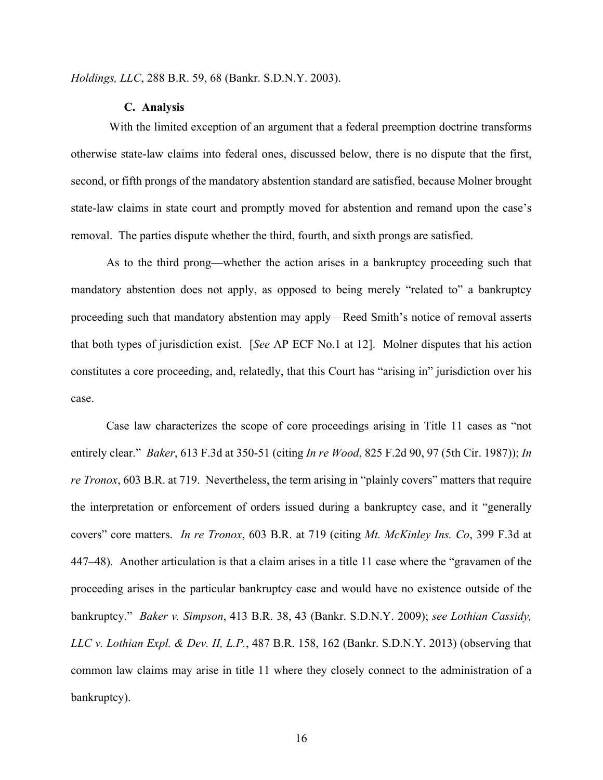*Holdings, LLC*, 288 B.R. 59, 68 (Bankr. S.D.N.Y. 2003).

#### **C. Analysis**

 With the limited exception of an argument that a federal preemption doctrine transforms otherwise state-law claims into federal ones, discussed below, there is no dispute that the first, second, or fifth prongs of the mandatory abstention standard are satisfied, because Molner brought state-law claims in state court and promptly moved for abstention and remand upon the case's removal. The parties dispute whether the third, fourth, and sixth prongs are satisfied.

As to the third prong—whether the action arises in a bankruptcy proceeding such that mandatory abstention does not apply, as opposed to being merely "related to" a bankruptcy proceeding such that mandatory abstention may apply—Reed Smith's notice of removal asserts that both types of jurisdiction exist. [*See* AP ECF No.1 at 12]. Molner disputes that his action constitutes a core proceeding, and, relatedly, that this Court has "arising in" jurisdiction over his case.

Case law characterizes the scope of core proceedings arising in Title 11 cases as "not entirely clear." *Baker*, 613 F.3d at 350-51 (citing *In re Wood*, 825 F.2d 90, 97 (5th Cir. 1987)); *In re Tronox*, 603 B.R. at 719. Nevertheless, the term arising in "plainly covers" matters that require the interpretation or enforcement of orders issued during a bankruptcy case, and it "generally covers" core matters. *In re Tronox*, 603 B.R. at 719 (citing *Mt. McKinley Ins. Co*, 399 F.3d at 447–48). Another articulation is that a claim arises in a title 11 case where the "gravamen of the proceeding arises in the particular bankruptcy case and would have no existence outside of the bankruptcy." *Baker v. Simpson*, 413 B.R. 38, 43 (Bankr. S.D.N.Y. 2009); *see Lothian Cassidy, LLC v. Lothian Expl. & Dev. II, L.P.*, 487 B.R. 158, 162 (Bankr. S.D.N.Y. 2013) (observing that common law claims may arise in title 11 where they closely connect to the administration of a bankruptcy).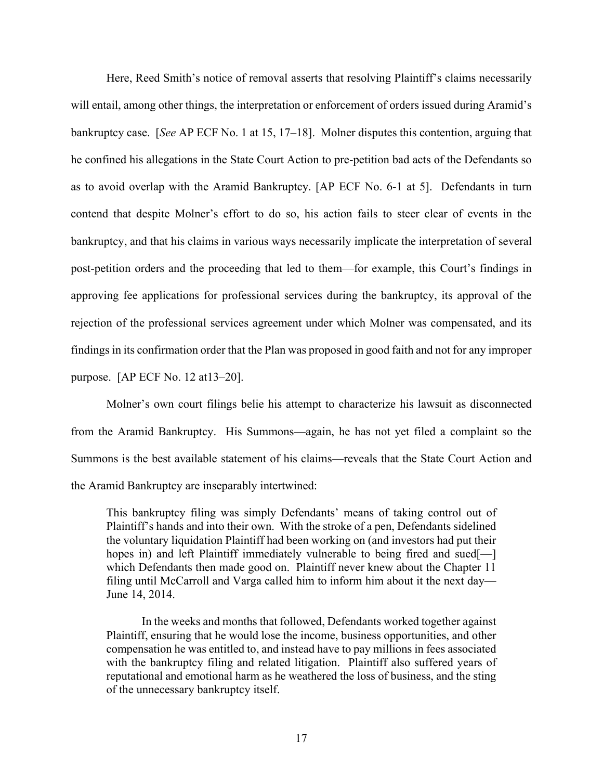Here, Reed Smith's notice of removal asserts that resolving Plaintiff's claims necessarily will entail, among other things, the interpretation or enforcement of orders issued during Aramid's bankruptcy case. [*See* AP ECF No. 1 at 15, 17–18].Molner disputes this contention, arguing that he confined his allegations in the State Court Action to pre-petition bad acts of the Defendants so as to avoid overlap with the Aramid Bankruptcy. [AP ECF No. 6-1 at 5]. Defendants in turn contend that despite Molner's effort to do so, his action fails to steer clear of events in the bankruptcy, and that his claims in various ways necessarily implicate the interpretation of several post-petition orders and the proceeding that led to them—for example, this Court's findings in approving fee applications for professional services during the bankruptcy, its approval of the rejection of the professional services agreement under which Molner was compensated, and its findings in its confirmation order that the Plan was proposed in good faith and not for any improper purpose. [AP ECF No. 12 at13–20].

Molner's own court filings belie his attempt to characterize his lawsuit as disconnected from the Aramid Bankruptcy. His Summons—again, he has not yet filed a complaint so the Summons is the best available statement of his claims—reveals that the State Court Action and the Aramid Bankruptcy are inseparably intertwined:

This bankruptcy filing was simply Defendants' means of taking control out of Plaintiff's hands and into their own. With the stroke of a pen, Defendants sidelined the voluntary liquidation Plaintiff had been working on (and investors had put their hopes in) and left Plaintiff immediately vulnerable to being fired and sued[which Defendants then made good on. Plaintiff never knew about the Chapter 11 filing until McCarroll and Varga called him to inform him about it the next day— June 14, 2014.

In the weeks and months that followed, Defendants worked together against Plaintiff, ensuring that he would lose the income, business opportunities, and other compensation he was entitled to, and instead have to pay millions in fees associated with the bankruptcy filing and related litigation. Plaintiff also suffered years of reputational and emotional harm as he weathered the loss of business, and the sting of the unnecessary bankruptcy itself.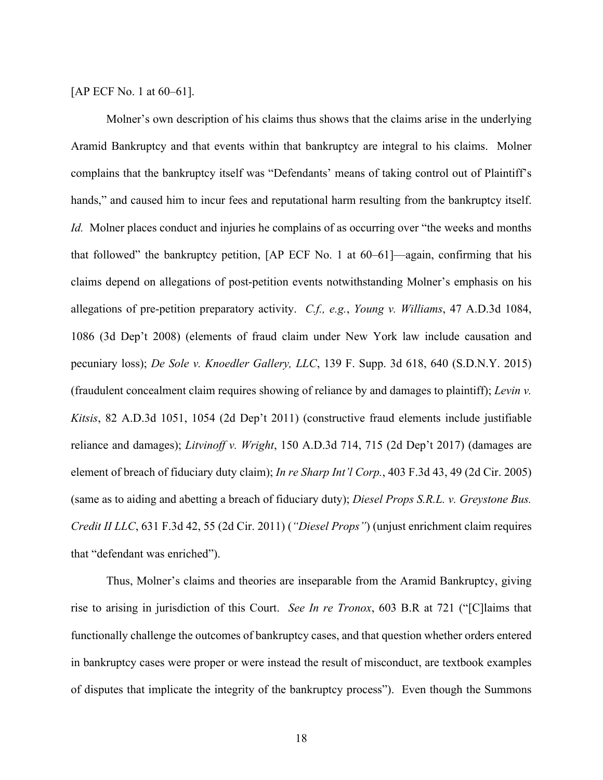[AP ECF No. 1 at 60–61].

Molner's own description of his claims thus shows that the claims arise in the underlying Aramid Bankruptcy and that events within that bankruptcy are integral to his claims. Molner complains that the bankruptcy itself was "Defendants' means of taking control out of Plaintiff's hands," and caused him to incur fees and reputational harm resulting from the bankruptcy itself. *Id.* Molner places conduct and injuries he complains of as occurring over "the weeks and months" that followed" the bankruptcy petition, [AP ECF No. 1 at 60–61]—again, confirming that his claims depend on allegations of post-petition events notwithstanding Molner's emphasis on his allegations of pre-petition preparatory activity. *C.f., e.g.*, *Young v. Williams*, 47 A.D.3d 1084, 1086 (3d Dep't 2008) (elements of fraud claim under New York law include causation and pecuniary loss); *De Sole v. Knoedler Gallery, LLC*, 139 F. Supp. 3d 618, 640 (S.D.N.Y. 2015) (fraudulent concealment claim requires showing of reliance by and damages to plaintiff); *Levin v. Kitsis*, 82 A.D.3d 1051, 1054 (2d Dep't 2011) (constructive fraud elements include justifiable reliance and damages); *Litvinoff v. Wright*, 150 A.D.3d 714, 715 (2d Dep't 2017) (damages are element of breach of fiduciary duty claim); *In re Sharp Int'l Corp.*, 403 F.3d 43, 49 (2d Cir. 2005) (same as to aiding and abetting a breach of fiduciary duty); *Diesel Props S.R.L. v. Greystone Bus. Credit II LLC*, 631 F.3d 42, 55 (2d Cir. 2011) (*"Diesel Props"*) (unjust enrichment claim requires that "defendant was enriched").

Thus, Molner's claims and theories are inseparable from the Aramid Bankruptcy, giving rise to arising in jurisdiction of this Court. *See In re Tronox*, 603 B.R at 721 ("[C]laims that functionally challenge the outcomes of bankruptcy cases, and that question whether orders entered in bankruptcy cases were proper or were instead the result of misconduct, are textbook examples of disputes that implicate the integrity of the bankruptcy process"). Even though the Summons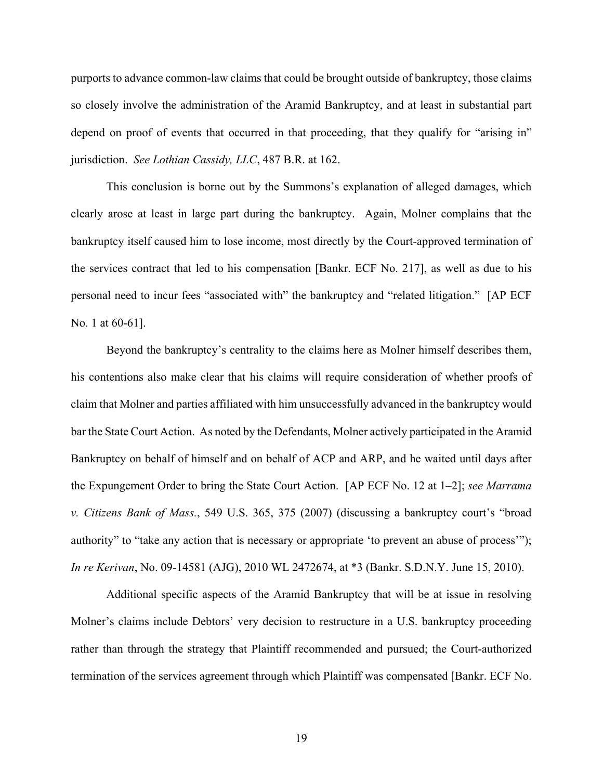purports to advance common-law claims that could be brought outside of bankruptcy, those claims so closely involve the administration of the Aramid Bankruptcy, and at least in substantial part depend on proof of events that occurred in that proceeding, that they qualify for "arising in" jurisdiction. *See Lothian Cassidy, LLC*, 487 B.R. at 162.

This conclusion is borne out by the Summons's explanation of alleged damages, which clearly arose at least in large part during the bankruptcy. Again, Molner complains that the bankruptcy itself caused him to lose income, most directly by the Court-approved termination of the services contract that led to his compensation [Bankr. ECF No. 217], as well as due to his personal need to incur fees "associated with" the bankruptcy and "related litigation." [AP ECF No. 1 at 60-61].

Beyond the bankruptcy's centrality to the claims here as Molner himself describes them, his contentions also make clear that his claims will require consideration of whether proofs of claim that Molner and parties affiliated with him unsuccessfully advanced in the bankruptcy would bar the State Court Action. As noted by the Defendants, Molner actively participated in the Aramid Bankruptcy on behalf of himself and on behalf of ACP and ARP, and he waited until days after the Expungement Order to bring the State Court Action. [AP ECF No. 12 at 1–2]; *see Marrama v. Citizens Bank of Mass.*, 549 U.S. 365, 375 (2007) (discussing a bankruptcy court's "broad authority" to "take any action that is necessary or appropriate 'to prevent an abuse of process'"); *In re Kerivan*, No. 09-14581 (AJG), 2010 WL 2472674, at \*3 (Bankr. S.D.N.Y. June 15, 2010).

Additional specific aspects of the Aramid Bankruptcy that will be at issue in resolving Molner's claims include Debtors' very decision to restructure in a U.S. bankruptcy proceeding rather than through the strategy that Plaintiff recommended and pursued; the Court-authorized termination of the services agreement through which Plaintiff was compensated [Bankr. ECF No.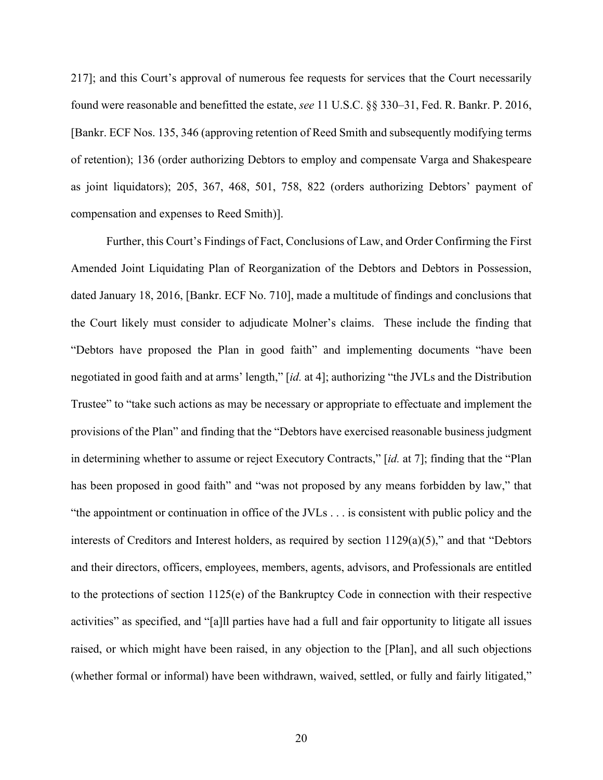217]; and this Court's approval of numerous fee requests for services that the Court necessarily found were reasonable and benefitted the estate, *see* 11 U.S.C. §§ 330–31, Fed. R. Bankr. P. 2016, [Bankr. ECF Nos. 135, 346 (approving retention of Reed Smith and subsequently modifying terms of retention); 136 (order authorizing Debtors to employ and compensate Varga and Shakespeare as joint liquidators); 205, 367, 468, 501, 758, 822 (orders authorizing Debtors' payment of compensation and expenses to Reed Smith)].

Further, this Court's Findings of Fact, Conclusions of Law, and Order Confirming the First Amended Joint Liquidating Plan of Reorganization of the Debtors and Debtors in Possession, dated January 18, 2016, [Bankr. ECF No. 710], made a multitude of findings and conclusions that the Court likely must consider to adjudicate Molner's claims. These include the finding that "Debtors have proposed the Plan in good faith" and implementing documents "have been negotiated in good faith and at arms' length," [*id.* at 4]; authorizing "the JVLs and the Distribution Trustee" to "take such actions as may be necessary or appropriate to effectuate and implement the provisions of the Plan" and finding that the "Debtors have exercised reasonable business judgment in determining whether to assume or reject Executory Contracts," [*id.* at 7]; finding that the "Plan has been proposed in good faith" and "was not proposed by any means forbidden by law," that "the appointment or continuation in office of the JVLs . . . is consistent with public policy and the interests of Creditors and Interest holders, as required by section 1129(a)(5)," and that "Debtors and their directors, officers, employees, members, agents, advisors, and Professionals are entitled to the protections of section 1125(e) of the Bankruptcy Code in connection with their respective activities" as specified, and "[a]ll parties have had a full and fair opportunity to litigate all issues raised, or which might have been raised, in any objection to the [Plan], and all such objections (whether formal or informal) have been withdrawn, waived, settled, or fully and fairly litigated,"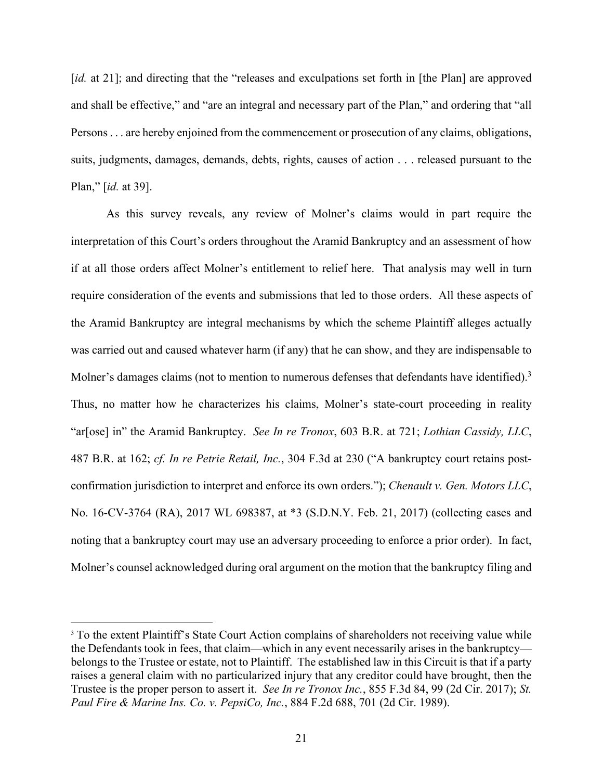[*id.* at 21]; and directing that the "releases and exculpations set forth in [the Plan] are approved and shall be effective," and "are an integral and necessary part of the Plan," and ordering that "all Persons . . . are hereby enjoined from the commencement or prosecution of any claims, obligations, suits, judgments, damages, demands, debts, rights, causes of action . . . released pursuant to the Plan," [*id.* at 39].

As this survey reveals, any review of Molner's claims would in part require the interpretation of this Court's orders throughout the Aramid Bankruptcy and an assessment of how if at all those orders affect Molner's entitlement to relief here. That analysis may well in turn require consideration of the events and submissions that led to those orders. All these aspects of the Aramid Bankruptcy are integral mechanisms by which the scheme Plaintiff alleges actually was carried out and caused whatever harm (if any) that he can show, and they are indispensable to Molner's damages claims (not to mention to numerous defenses that defendants have identified).<sup>3</sup> Thus, no matter how he characterizes his claims, Molner's state-court proceeding in reality "ar[ose] in" the Aramid Bankruptcy. *See In re Tronox*, 603 B.R. at 721; *Lothian Cassidy, LLC*, 487 B.R. at 162; *cf. In re Petrie Retail, Inc.*, 304 F.3d at 230 ("A bankruptcy court retains postconfirmation jurisdiction to interpret and enforce its own orders."); *Chenault v. Gen. Motors LLC*, No. 16-CV-3764 (RA), 2017 WL 698387, at \*3 (S.D.N.Y. Feb. 21, 2017) (collecting cases and noting that a bankruptcy court may use an adversary proceeding to enforce a prior order). In fact, Molner's counsel acknowledged during oral argument on the motion that the bankruptcy filing and

<sup>&</sup>lt;sup>3</sup> To the extent Plaintiff's State Court Action complains of shareholders not receiving value while the Defendants took in fees, that claim—which in any event necessarily arises in the bankruptcy belongs to the Trustee or estate, not to Plaintiff. The established law in this Circuit is that if a party raises a general claim with no particularized injury that any creditor could have brought, then the Trustee is the proper person to assert it. *See In re Tronox Inc.*, 855 F.3d 84, 99 (2d Cir. 2017); *St. Paul Fire & Marine Ins. Co. v. PepsiCo, Inc.*, 884 F.2d 688, 701 (2d Cir. 1989).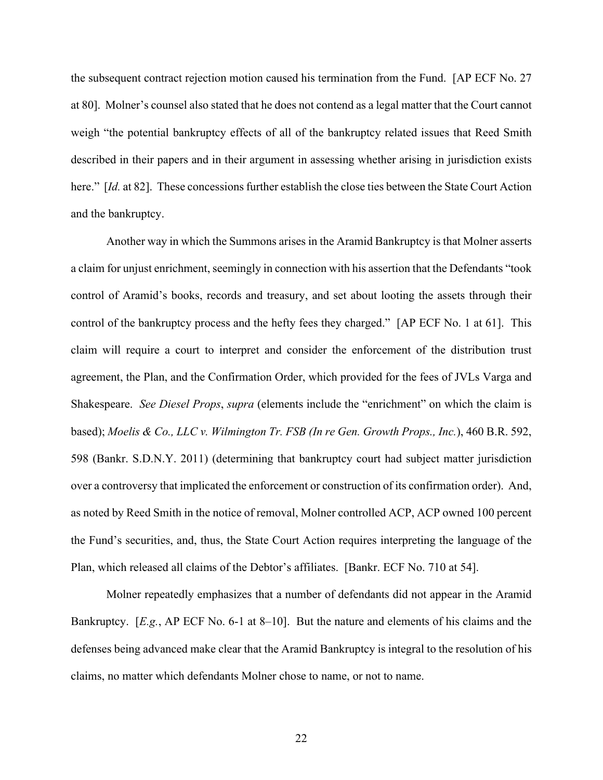the subsequent contract rejection motion caused his termination from the Fund. [AP ECF No. 27 at 80]. Molner's counsel also stated that he does not contend as a legal matter that the Court cannot weigh "the potential bankruptcy effects of all of the bankruptcy related issues that Reed Smith described in their papers and in their argument in assessing whether arising in jurisdiction exists here." [*Id.* at 82]. These concessions further establish the close ties between the State Court Action and the bankruptcy.

 Another way in which the Summons arises in the Aramid Bankruptcy is that Molner asserts a claim for unjust enrichment, seemingly in connection with his assertion that the Defendants "took control of Aramid's books, records and treasury, and set about looting the assets through their control of the bankruptcy process and the hefty fees they charged." [AP ECF No. 1 at 61]. This claim will require a court to interpret and consider the enforcement of the distribution trust agreement, the Plan, and the Confirmation Order, which provided for the fees of JVLs Varga and Shakespeare. *See Diesel Props*, *supra* (elements include the "enrichment" on which the claim is based); *Moelis & Co., LLC v. Wilmington Tr. FSB (In re Gen. Growth Props., Inc.*), 460 B.R. 592, 598 (Bankr. S.D.N.Y. 2011) (determining that bankruptcy court had subject matter jurisdiction over a controversy that implicated the enforcement or construction of its confirmation order). And, as noted by Reed Smith in the notice of removal, Molner controlled ACP, ACP owned 100 percent the Fund's securities, and, thus, the State Court Action requires interpreting the language of the Plan, which released all claims of the Debtor's affiliates. [Bankr. ECF No. 710 at 54].

 Molner repeatedly emphasizes that a number of defendants did not appear in the Aramid Bankruptcy. [*E.g.*, AP ECF No. 6-1 at 8–10]. But the nature and elements of his claims and the defenses being advanced make clear that the Aramid Bankruptcy is integral to the resolution of his claims, no matter which defendants Molner chose to name, or not to name.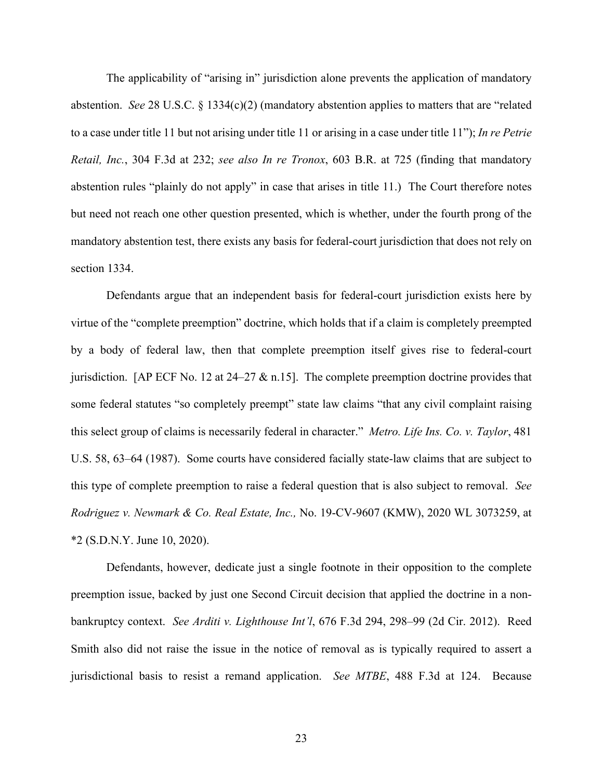The applicability of "arising in" jurisdiction alone prevents the application of mandatory abstention. *See* 28 U.S.C. § 1334(c)(2) (mandatory abstention applies to matters that are "related to a case under title 11 but not arising under title 11 or arising in a case under title 11"); *In re Petrie Retail, Inc.*, 304 F.3d at 232; *see also In re Tronox*, 603 B.R. at 725 (finding that mandatory abstention rules "plainly do not apply" in case that arises in title 11.) The Court therefore notes but need not reach one other question presented, which is whether, under the fourth prong of the mandatory abstention test, there exists any basis for federal-court jurisdiction that does not rely on section 1334.

Defendants argue that an independent basis for federal-court jurisdiction exists here by virtue of the "complete preemption" doctrine, which holds that if a claim is completely preempted by a body of federal law, then that complete preemption itself gives rise to federal-court jurisdiction. [AP ECF No. 12 at 24–27 & n.15]. The complete preemption doctrine provides that some federal statutes "so completely preempt" state law claims "that any civil complaint raising this select group of claims is necessarily federal in character." *Metro. Life Ins. Co. v. Taylor*, 481 U.S. 58, 63–64 (1987). Some courts have considered facially state-law claims that are subject to this type of complete preemption to raise a federal question that is also subject to removal. *See Rodriguez v. Newmark & Co. Real Estate, Inc.,* No. 19-CV-9607 (KMW), 2020 WL 3073259, at \*2 (S.D.N.Y. June 10, 2020).

Defendants, however, dedicate just a single footnote in their opposition to the complete preemption issue, backed by just one Second Circuit decision that applied the doctrine in a nonbankruptcy context. *See Arditi v. Lighthouse Int'l*, 676 F.3d 294, 298–99 (2d Cir. 2012). Reed Smith also did not raise the issue in the notice of removal as is typically required to assert a jurisdictional basis to resist a remand application. *See MTBE*, 488 F.3d at 124. Because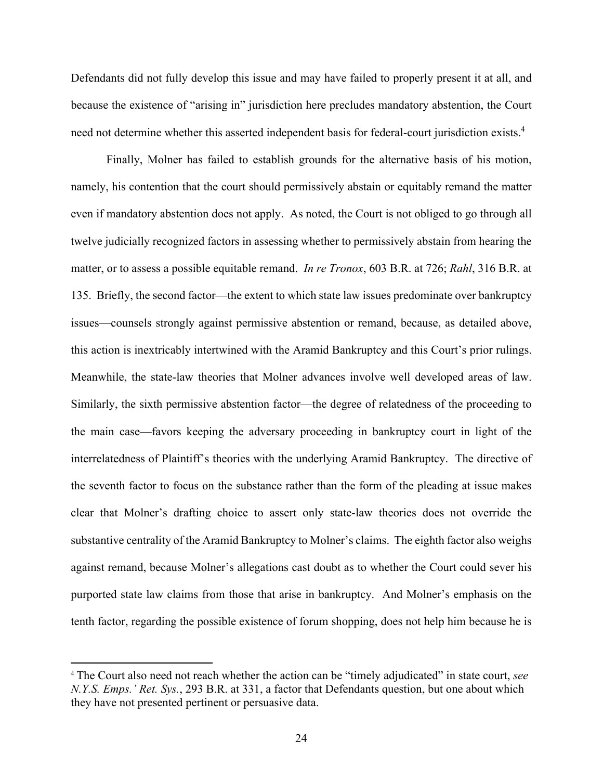Defendants did not fully develop this issue and may have failed to properly present it at all, and because the existence of "arising in" jurisdiction here precludes mandatory abstention, the Court need not determine whether this asserted independent basis for federal-court jurisdiction exists.4

 Finally, Molner has failed to establish grounds for the alternative basis of his motion, namely, his contention that the court should permissively abstain or equitably remand the matter even if mandatory abstention does not apply. As noted, the Court is not obliged to go through all twelve judicially recognized factors in assessing whether to permissively abstain from hearing the matter, or to assess a possible equitable remand. *In re Tronox*, 603 B.R. at 726; *Rahl*, 316 B.R. at 135. Briefly, the second factor—the extent to which state law issues predominate over bankruptcy issues—counsels strongly against permissive abstention or remand, because, as detailed above, this action is inextricably intertwined with the Aramid Bankruptcy and this Court's prior rulings. Meanwhile, the state-law theories that Molner advances involve well developed areas of law. Similarly, the sixth permissive abstention factor—the degree of relatedness of the proceeding to the main case—favors keeping the adversary proceeding in bankruptcy court in light of the interrelatedness of Plaintiff's theories with the underlying Aramid Bankruptcy. The directive of the seventh factor to focus on the substance rather than the form of the pleading at issue makes clear that Molner's drafting choice to assert only state-law theories does not override the substantive centrality of the Aramid Bankruptcy to Molner's claims. The eighth factor also weighs against remand, because Molner's allegations cast doubt as to whether the Court could sever his purported state law claims from those that arise in bankruptcy. And Molner's emphasis on the tenth factor, regarding the possible existence of forum shopping, does not help him because he is

<sup>4</sup> The Court also need not reach whether the action can be "timely adjudicated" in state court, *see N.Y.S. Emps.' Ret. Sys.*, 293 B.R. at 331, a factor that Defendants question, but one about which they have not presented pertinent or persuasive data.